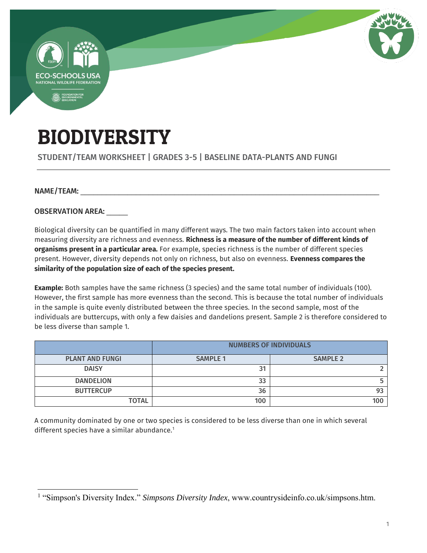

# BIODIVERSITY

### STUDENT/TEAM WORKSHEET | GRADES 3-5 | BASELINE DATA-PLANTS AND FUNGI

#### NAME/TEAM:

 $\overline{a}$ 

OBSERVATION AREA: \_\_\_\_\_

Biological diversity can be quantified in many different ways. The two main factors taken into account when measuring diversity are richness and evenness. **Richness is a measure of the number of different kinds of organisms present in a particular area.** For example, species richness is the number of different species present. However, diversity depends not only on richness, but also on evenness. **Evenness compares the similarity of the population size of each of the species present.**

**Example:** Both samples have the same richness (3 species) and the same total number of individuals (100). However, the first sample has more evenness than the second. This is because the total number of individuals in the sample is quite evenly distributed between the three species. In the second sample, most of the individuals are buttercups, with only a few daisies and dandelions present. Sample 2 is therefore considered to be less diverse than sample 1.

|                        | <b>NUMBERS OF INDIVIDUALS</b> |                 |  |
|------------------------|-------------------------------|-----------------|--|
| <b>PLANT AND FUNGI</b> | <b>SAMPLE 1</b>               | <b>SAMPLE 2</b> |  |
| <b>DAISY</b>           | 31                            |                 |  |
| <b>DANDELION</b>       | 33                            |                 |  |
| <b>BUTTERCUP</b>       | 36                            |                 |  |
| <b>TOTAL</b>           | 100                           | 100             |  |

A community dominated by one or two species is considered to be less diverse than one in which several different species have a similar abundance.<sup>1</sup>

<sup>&</sup>lt;sup>1</sup> "Simpson's Diversity Index." *Simpsons Diversity Index*, www.countrysideinfo.co.uk/simpsons.htm.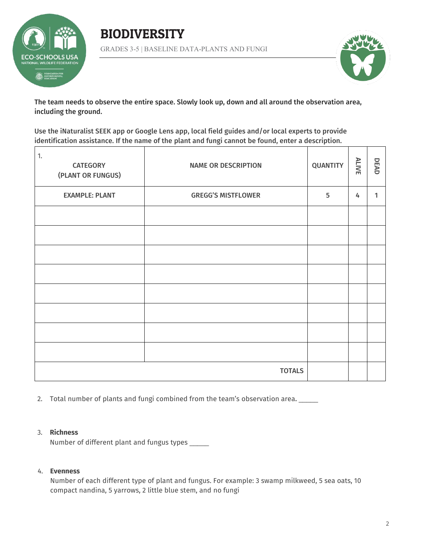





The team needs to observe the entire space. Slowly look up, down and all around the observation area, including the ground.

Use the iNaturalist SEEK app or Google Lens app, local field guides and/or local experts to provide identification assistance. If the name of the plant and fungi cannot be found, enter a description.

| 1.<br><b>CATEGORY</b><br>(PLANT OR FUNGUS) | <b>NAME OR DESCRIPTION</b> | <b>QUANTITY</b> | <b>ALIVE</b> | DEAD |
|--------------------------------------------|----------------------------|-----------------|--------------|------|
| <b>EXAMPLE: PLANT</b>                      | <b>GREGG'S MISTFLOWER</b>  | 5               | 4            | 1    |
|                                            |                            |                 |              |      |
|                                            |                            |                 |              |      |
|                                            |                            |                 |              |      |
|                                            |                            |                 |              |      |
|                                            |                            |                 |              |      |
|                                            |                            |                 |              |      |
|                                            |                            |                 |              |      |
|                                            |                            |                 |              |      |
|                                            | <b>TOTALS</b>              |                 |              |      |

2. Total number of plants and fungi combined from the team's observation area.

#### 3. **Richness**

Number of different plant and fungus types \_\_\_\_\_

#### 4. **Evenness**

Number of each different type of plant and fungus. For example: 3 swamp milkweed, 5 sea oats, 10 compact nandina, 5 yarrows, 2 little blue stem, and no fungi